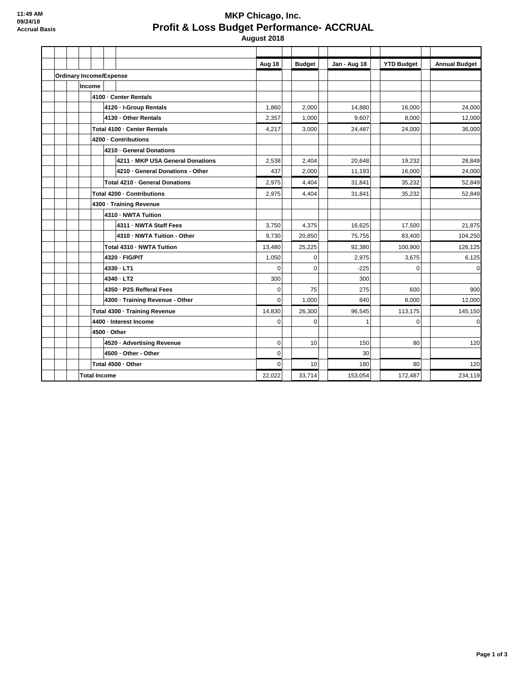## **MKP Chicago, Inc. Profit & Loss Budget Performance- ACCRUAL August 2018**

**Aug 18 Budget Jan - Aug 18 YTD Budget Annual Budget Ordinary Income/Expense Income 4100 · Center Rentals 4120 · I-Group Rentals** 1,860 | 2,000 | 1,880 | 1,880 | 16,000 | 24,000 | 24,000 **4130 · Other Rentals** 2,357 1,000 9,607 8,000 12,000 **Total 4100 · Center Rentals** 4 **4,217** 3,000 24,487 24,400 24,000 36,000 **4200 · Contributions 4210 · General Donations 4211 · MKP USA General Donations**  $\begin{vmatrix} 2,538 & 2,404 \\ 2,649 & 20,648 \end{vmatrix}$  19,232 28,849 **4210 · General Donations - Other**  $\begin{vmatrix} 437 & 2,000 & 1,193 \\ 437 & 2,000 & 1 \end{vmatrix}$  16,000 24,000 **Total 4210 · General Donations 2,975**  $\begin{array}{|c|c|c|c|c|c|c|c|}\n\hline\n\text{7,1,841} & \text{35,232} \\
\hline\n\end{array}$ **Total 4200 · Contributions** 2,975 4,404 31,841 35,232 52,849 **4300 · Training Revenue 4310 · NWTA Tuition 4311 · NWTA Staff Fees** 21,875 **16,625** 16,625 17,500 21,875 **4310 · NWTA Tuition - Other 104,250 83,400 104,250 83,400 104,250 104,250 Total 4310 · NWTA Tuition** 126,125 13,480 25,225 92,380 100,900 126,125 **4320 · FIG/PIT** 1,050 0 2,975 3,675 6,125 **4330 · LT1** 0 0 -225 0 0 **4340 · LT2** 300 300 300 300 300 300 300 **4350 · P2S Refferal Fees** 0 75 275 600 900 **4300 · Training Revenue - Other 1,000 8,000 12,000** 12,000 **Total 4300 · Training Revenue** 14,830 26,300 96,545 113,175 145,150 **4400 · Interest Income** 0 0 1 0 0 **4500 · Other 4520 · Advertising Revenue** 0 10 150 80 120 **4500 · Other - Other** 0 30 **Total 4500 · Other** 0 10 180 80 120 **Total Income** 22,022 33,714 153,054 172,487 234,119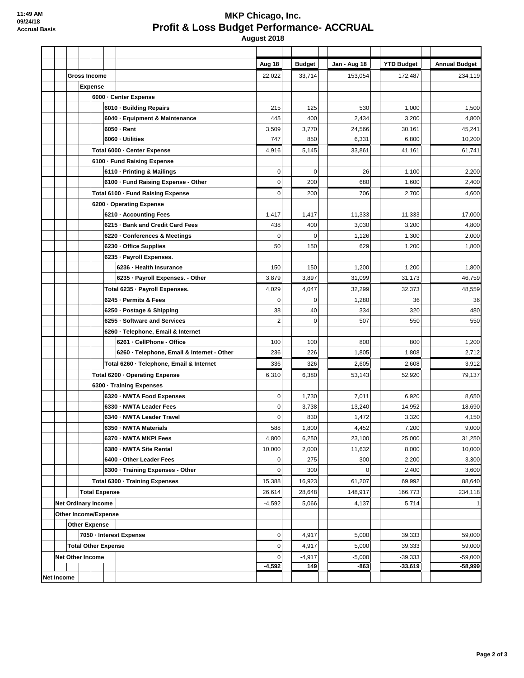## **MKP Chicago, Inc. Profit & Loss Budget Performance- ACCRUAL August 2018**

**Aug 18 Budget Jan - Aug 18 YTD Budget Annual Budget Gross Income** 22,022 33,714 153,054 172,487 234,119 **Expense 6000 · Center Expense 6010 · Building Repairs** | 215 | 125 | 530 | 1,000 | 1,500 **6040 · Equipment & Maintenance**  $\begin{vmatrix} 445 & 400 & 2,434 \end{vmatrix}$   $\begin{vmatrix} 2,434 & 3,200 \end{vmatrix}$  4,800 **6050 · Rent** 3,509 3,770 24,566 30,161 45,241 **6060 · Utilities 747 |** 850 | 6,331 | 6,800 | 10,200 Total 6000 · Center Expense 4,916 5,145 33,861 41,161 61,741 **6100 · Fund Raising Expense 6110 · Printing & Mailings 1.200 1.4 College 1.4 College 1.4 College 1.4 College 1.4 College 1.4 College 2.200 2.200 2.200 2.200 2.200 2.200 2.200 2.200 2.200 2.200 2.200 2.200 2.200 2.200 2.200 2.200 2.200 2.200 2.200 6100 · Fund Raising Expense - Other** | 0 | | 200 | | 680 | | 1,600 | | 2,400 **Total 6100 · Fund Raising Expense** 0 200 706 2,700 4,600 **6200 · Operating Expense 6210 · Accounting Fees** 17,000 **11,417** 1,417 11,417 11,333 11,333 11,333 11,333 **6215 · Bank and Credit Card Fees**  $\begin{vmatrix} 438 & 400 & 3,030 \\ 438 & 3,200 & 3,200 \end{vmatrix}$  4,800 **6220 · Conferences & Meetings**  $\begin{vmatrix} 0 & 0 & 0 \\ 0 & 0 & 0 \\ 0 & 0 & 0 \end{vmatrix}$  1,126 1,300 1,300 2,000 **6230 · Office Supplies** 50 150 629 1,200 1,800 **6235 · Payroll Expenses. 6236 · Health Insurance** 150 150 150 1,200 1,200 1,200 1,200 1,200 1,800 **6235 · Payroll Expenses. - Other**  $\begin{vmatrix} 3,879 & 3,897 \end{vmatrix}$  31,099 31,173 31,173 **Total 6235 · Payroll Expenses.** | 4,029 | 4,047 | 32,299 | 32,373 | 48,559 **6245 · Permits & Fees** 0 0 1,280 36 36 **6250 · Postage & Shipping** 38 40 334 320 480 **6255 · Software and Services** 2 2 0 507 **550** 550 **6260 · Telephone, Email & Internet 6261 · CellPhone - Office** | 100 | 100 | 800 | 800 | 1,200 **6260 · Telephone, Email & Internet - Other**  $\begin{vmatrix} 236 & 236 \\ 236 & 2,712 \end{vmatrix}$  1,805 1,808 1,808 2,712 **Total 6260 · Telephone, Email & Internet** 336 326 2,605 2,608 3,912 **Total 6200 · Operating Expense** 6,310 6,380 53,143 52,920 79,137 **6300 · Training Expenses 6320 · NWTA Food Expenses** 0 1,730 7,011 6,920 8,650 **6330 · NWTA Leader Fees** 0 3,738 13,240 14,952 18,690 **6340 · NWTA Leader Travel** 0 830 1,472 3,320 4,150 **6350 · NWTA Materials** 6350 · NWTA Materials **50.00 11.588** 1,800 1 · 1,800 1 · 1,800 1 · 1,800 1 · 1,800 1 · 1,900 **6370 · NWTA MKPI Fees** 4,800 6,250 23,100 25,000 31,250 **6380 · NWTA Site Rental 10.000 10.000 10.000** 10,000 10,000 10,000 11,632 8,000 10,000 **6400 · Other Leader Fees** 2,300 **8400 · Other Leader Fees** 3,300 **6300 · Training Expenses - Other** 0 300 0 2,400 3,600 **Total 6300 · Training Expenses** 15,388 | 16,923 16,923 | 16,927 | 69,992 | 68,640 **Total Expense** 26,614 28,648 148,917 166,773 234,118 **Net Ordinary Income** -4,592 5,066 4,137 5,714 1 **Other Income/Expense Other Expense 7050 · Interest Expense** 5,000 39,333 59,000 **Total Other Expense** 0 4,917 5,000 39,333 59,000 **Net Other Income** 0 -4,917 -5,000 -39,333 -59,000 **-4,592 149 -863 -33,619 -58,999 Net Income**